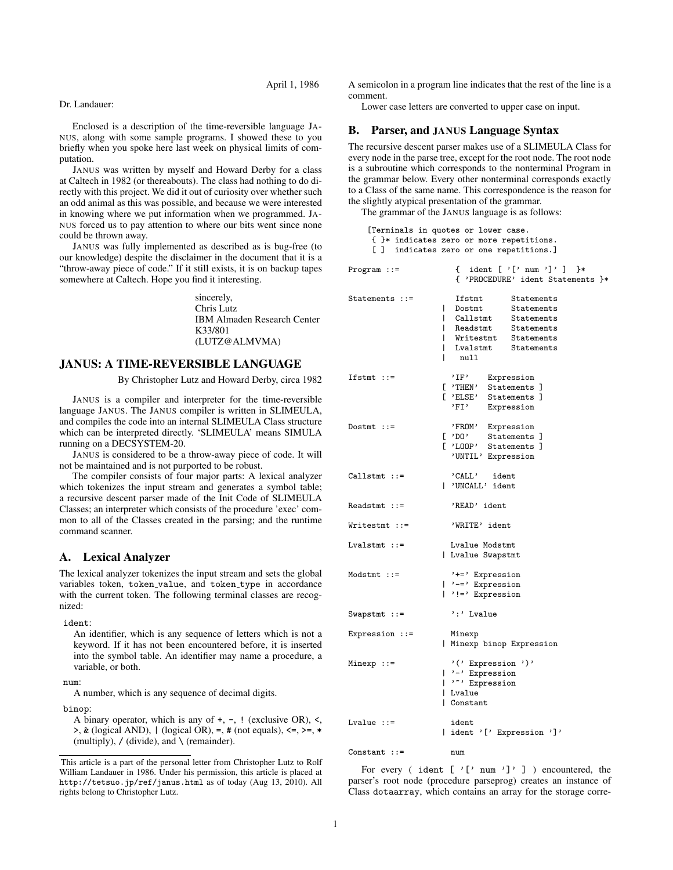April 1, 1986

### Dr. Landauer:

Enclosed is a description of the time-reversible language JA-NUS, along with some sample programs. I showed these to you briefly when you spoke here last week on physical limits of computation.

JANUS was written by myself and Howard Derby for a class at Caltech in 1982 (or thereabouts). The class had nothing to do directly with this project. We did it out of curiosity over whether such an odd animal as this was possible, and because we were interested in knowing where we put information when we programmed. JA-NUS forced us to pay attention to where our bits went since none could be thrown away.

JANUS was fully implemented as described as is bug-free (to our knowledge) despite the disclaimer in the document that it is a "throw-away piece of code." If it still exists, it is on backup tapes somewhere at Caltech. Hope you find it interesting.

> sincerely, Chris Lutz IBM Almaden Research Center K33/801 (LUTZ@ALMVMA)

## JANUS: A TIME-REVERSIBLE LANGUAGE

By Christopher Lutz and Howard Derby, circa 1982

JANUS is a compiler and interpreter for the time-reversible language JANUS. The JANUS compiler is written in SLIMEULA, and compiles the code into an internal SLIMEULA Class structure which can be interpreted directly. 'SLIMEULA' means SIMULA running on a DECSYSTEM-20.

JANUS is considered to be a throw-away piece of code. It will not be maintained and is not purported to be robust.

The compiler consists of four major parts: A lexical analyzer which tokenizes the input stream and generates a symbol table; a recursive descent parser made of the Init Code of SLIMEULA Classes; an interpreter which consists of the procedure 'exec' common to all of the Classes created in the parsing; and the runtime command scanner.

# A. Lexical Analyzer

The lexical analyzer tokenizes the input stream and sets the global variables token, token\_value, and token\_type in accordance with the current token. The following terminal classes are recognized:

ident:

An identifier, which is any sequence of letters which is not a keyword. If it has not been encountered before, it is inserted into the symbol table. An identifier may name a procedure, a variable, or both.

num:

A number, which is any sequence of decimal digits.

binop:

A binary operator, which is any of +, -, ! (exclusive OR), <,  $\Rightarrow$ , & (logical AND), | (logical OR), =, # (not equals),  $\leq$  =,  $\geq$ ,  $\ast$ (multiply),  $\prime$  (divide), and \ (remainder).

A semicolon in a program line indicates that the rest of the line is a comment.

Lower case letters are converted to upper case on input.

# B. Parser, and JANUS Language Syntax

The recursive descent parser makes use of a SLIMEULA Class for every node in the parse tree, except for the root node. The root node is a subroutine which corresponds to the nonterminal Program in the grammar below. Every other nonterminal corresponds exactly to a Class of the same name. This correspondence is the reason for the slightly atypical presentation of the grammar.

The grammar of the JANUS language is as follows:

[Terminals in quotes or lower case.

|                  | [Ieiminais in quotes Of fower case.<br>{ }* indicates zero or more repetitions.<br>[] indicates zero or one repetitions.]                                                          |
|------------------|------------------------------------------------------------------------------------------------------------------------------------------------------------------------------------|
| $Program ::=$    | { ident [ '[' num ']' ]<br>}∗<br>{ 'PROCEDURE' ident Statements }*                                                                                                                 |
| Statements $::=$ | Ifstmt<br>Statements<br>Statements<br>L<br>Dostmt<br>Statements<br>L<br>Callstmt<br>L<br>Readstmt<br>Statements<br>  Writestmt Statements<br>L<br>Lvalstmt<br>Statements<br>  null |
| $If$ stmt ::=    | 'IF' Expression<br>[ 'THEN' Statements ]<br>[ 'ELSE' Statements ]<br>Expression<br>'FI'                                                                                            |
| $Dostmt :: =$    | 'FROM' Expression<br>Statements ]<br>$[$ 'DO'<br>[ 'LOOP' Statements ]<br>'UNTIL' Expression                                                                                       |
| $Callstmt ::=$   | 'CALL' ident<br>  'UNCALL' ident                                                                                                                                                   |
| $Readstmt ::=$   | 'READ' ident                                                                                                                                                                       |
| Writestmt ::=    | 'WRITE' ident                                                                                                                                                                      |
| $Lvalstmt ::=$   | Lvalue Modstmt<br>  Lvalue Swapstmt                                                                                                                                                |
| $Modstmt ::=$    | '+=' Expression<br>$ $ '-=' Expression<br>$ $ '!=' Expression                                                                                                                      |
| $Swapstmt :: =$  | ':' Lvalue                                                                                                                                                                         |
| Expression $::=$ | Minexp<br>  Minexp binop Expression                                                                                                                                                |
| Minexp ::=       | '(' Expression ')'<br>$  \cdot - \cdot $ Expression<br>  '" Expression<br>  Lvalue<br>  Constant                                                                                   |
| $Lvalue :: =$    | ident<br>  ident '[' Expression ']'                                                                                                                                                |
| $Constant :: =$  | num                                                                                                                                                                                |

For every ( ident  $[\cdot]$ ' num ']' ] ) encountered, the parser's root node (procedure parseprog) creates an instance of Class dotaarray, which contains an array for the storage corre-

This article is a part of the personal letter from Christopher Lutz to Rolf William Landauer in 1986. Under his permission, this article is placed at http://tetsuo.jp/ref/janus.html as of today (Aug 13, 2010). All rights belong to Christopher Lutz.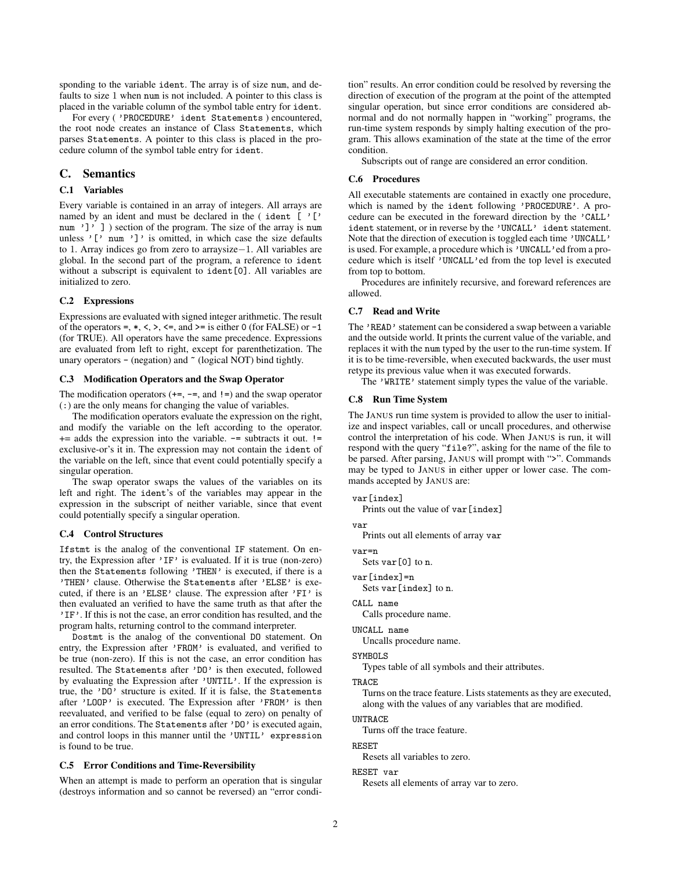sponding to the variable ident. The array is of size num, and defaults to size 1 when num is not included. A pointer to this class is placed in the variable column of the symbol table entry for ident.

For every ( 'PROCEDURE' ident Statements ) encountered, the root node creates an instance of Class Statements, which parses Statements. A pointer to this class is placed in the procedure column of the symbol table entry for ident.

# C. Semantics

## C.1 Variables

Every variable is contained in an array of integers. All arrays are named by an ident and must be declared in the  $($  ident  $[$   $']$ num ']' ] ) section of the program. The size of the array is num unless  $[\cdot]$  num  $[\cdot]$  is omitted, in which case the size defaults to 1. Array indices go from zero to arraysize*−*1. All variables are global. In the second part of the program, a reference to ident without a subscript is equivalent to ident[0]. All variables are initialized to zero.

### C.2 Expressions

Expressions are evaluated with signed integer arithmetic. The result of the operators =,  $*, <, >, \le$ , and  $>=$  is either 0 (for FALSE) or  $-1$ (for TRUE). All operators have the same precedence. Expressions are evaluated from left to right, except for parenthetization. The unary operators  $-$  (negation) and  $\tilde{ }$  (logical NOT) bind tightly.

## C.3 Modification Operators and the Swap Operator

The modification operators  $(+=,-=,$  and  $!=)$  and the swap operator (:) are the only means for changing the value of variables.

The modification operators evaluate the expression on the right, and modify the variable on the left according to the operator.  $+=$  adds the expression into the variable.  $==$  subtracts it out.  $!=$ exclusive-or's it in. The expression may not contain the ident of the variable on the left, since that event could potentially specify a singular operation.

The swap operator swaps the values of the variables on its left and right. The ident's of the variables may appear in the expression in the subscript of neither variable, since that event could potentially specify a singular operation.

### C.4 Control Structures

Ifstmt is the analog of the conventional IF statement. On entry, the Expression after 'IF' is evaluated. If it is true (non-zero) then the Statements following 'THEN' is executed, if there is a 'THEN' clause. Otherwise the Statements after 'ELSE' is executed, if there is an 'ELSE' clause. The expression after 'FI' is then evaluated an verified to have the same truth as that after the 'IF'. If this is not the case, an error condition has resulted, and the program halts, returning control to the command interpreter.

Dostmt is the analog of the conventional DO statement. On entry, the Expression after 'FROM' is evaluated, and verified to be true (non-zero). If this is not the case, an error condition has resulted. The Statements after 'DO' is then executed, followed by evaluating the Expression after 'UNTIL'. If the expression is true, the 'DO' structure is exited. If it is false, the Statements after 'LOOP' is executed. The Expression after 'FROM' is then reevaluated, and verified to be false (equal to zero) on penalty of an error conditions. The Statements after 'DO' is executed again, and control loops in this manner until the 'UNTIL' expression is found to be true.

# C.5 Error Conditions and Time-Reversibility

When an attempt is made to perform an operation that is singular (destroys information and so cannot be reversed) an "error condition" results. An error condition could be resolved by reversing the direction of execution of the program at the point of the attempted singular operation, but since error conditions are considered abnormal and do not normally happen in "working" programs, the run-time system responds by simply halting execution of the program. This allows examination of the state at the time of the error condition.

Subscripts out of range are considered an error condition.

### C.6 Procedures

All executable statements are contained in exactly one procedure, which is named by the ident following 'PROCEDURE'. A procedure can be executed in the foreward direction by the 'CALL' ident statement, or in reverse by the 'UNCALL' ident statement. Note that the direction of execution is toggled each time 'UNCALL' is used. For example, a procedure which is 'UNCALL'ed from a procedure which is itself 'UNCALL'ed from the top level is executed from top to bottom.

Procedures are infinitely recursive, and foreward references are allowed.

# C.7 Read and Write

The 'READ' statement can be considered a swap between a variable and the outside world. It prints the current value of the variable, and replaces it with the num typed by the user to the run-time system. If it is to be time-reversible, when executed backwards, the user must retype its previous value when it was executed forwards.

The 'WRITE' statement simply types the value of the variable.

### C.8 Run Time System

The JANUS run time system is provided to allow the user to initialize and inspect variables, call or uncall procedures, and otherwise control the interpretation of his code. When JANUS is run, it will respond with the query "file?", asking for the name of the file to be parsed. After parsing, JANUS will prompt with ">". Commands may be typed to JANUS in either upper or lower case. The commands accepted by JANUS are:

#### var[index]

Prints out the value of var [index]

var

Prints out all elements of array var

var=n

Sets var[0] to n.

var[index]=n

Sets var[index] to n.

### CALL name

Calls procedure name.

```
UNCALL name
```
Uncalls procedure name.

#### SYMBOLS

Types table of all symbols and their attributes.

## TRACE

Turns on the trace feature. Lists statements as they are executed, along with the values of any variables that are modified.

#### UNTRACE

Turns off the trace feature.

#### RESET

Resets all variables to zero.

### RESET var

Resets all elements of array var to zero.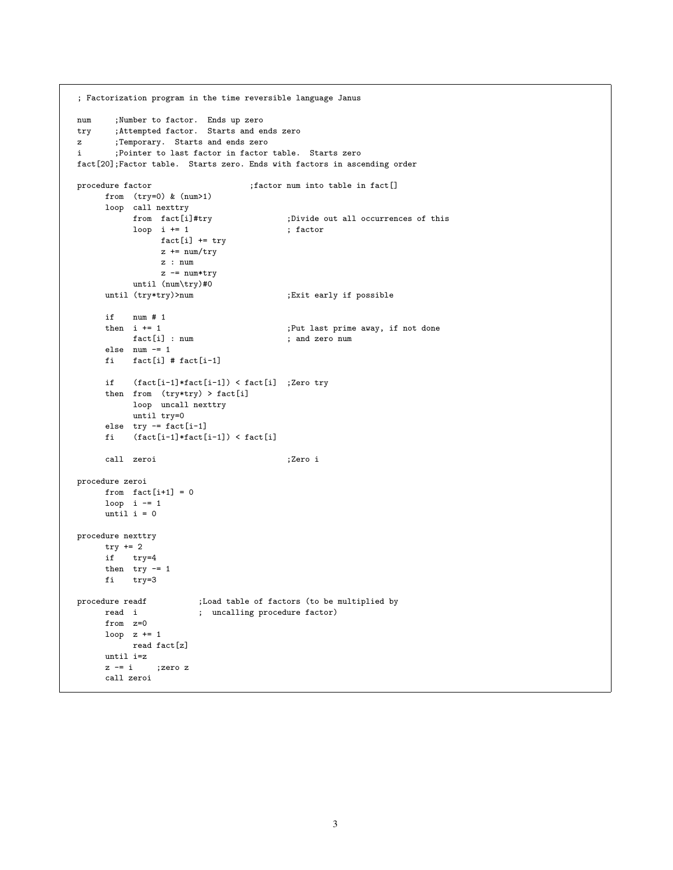```
; Factorization program in the time reversible language Janus
num ;Number to factor. Ends up zero
try ;Attempted factor. Starts and ends zero
z ;Temporary. Starts and ends zero
i ;Pointer to last factor in factor table. Starts zero
fact[20];Factor table. Starts zero. Ends with factors in ascending order
procedure factor ; factor num into table in fact[]
     from (try=0) & (num>1)
     loop call nexttry<br>from fact[i]#try
                                      ;Divide out all occurrences of this<br>; factor
          loop i += 1fact[i] += try
               z += num/tryz : num
               z -= num*tryuntil (num\try)#0
     until (try*try)>num ;Exit early if possible
     if num # 1
     then i += 1 (a) ;Put last prime away, if not done
         fact[i] : num ; and zero num
     else num -= 1
     fi fact[i] # fact[i-1]
     if (fact[i-1]*fact[i-1]) < fact[i] ;Zero try
     then from (try*try) > fact[i]
          loop uncall nexttry
         until try=0
     else try = fact[i-1]fi (fact[i-1]*fact[i-1]) < fact[i]call zeroi ;Zero i
procedure zeroi
     from fact[i+1] = 0loop i -1until i = 0procedure nexttry
    try += 2if try=4
     then try = 1fi try=3
procedure readf ;Load table of factors (to be multiplied by
    read i ; uncalling procedure factor)
     from z=0
    loop z += 1
         read fact[z]
     until i=z
     z = i ; zero zcall zeroi
```